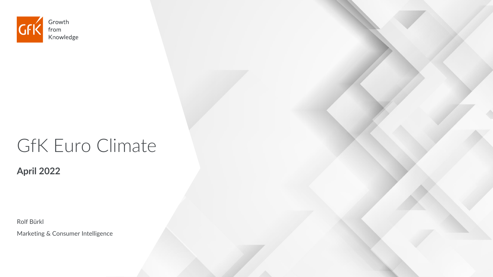

# GfK Euro Climate

**April 2022**

Rolf Bürkl

Marketing & Consumer Intelligence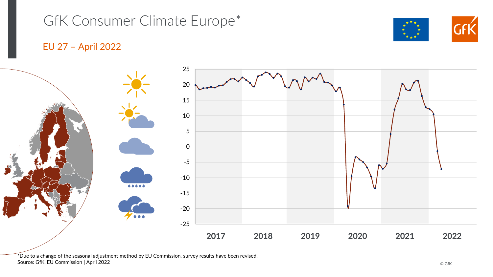### GfK Consumer Climate Europe\*

### EU 27 – April 2022



 $*$ Due to a change of the seasonal adjustment method by EU Commission, survey results have been revised. Source: GfK, EU Commission | April 2022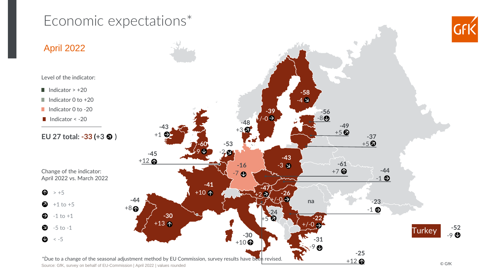### Economic expectations\*



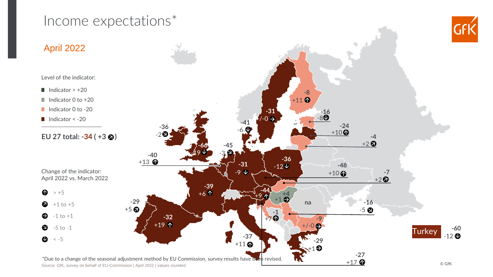### Income expectations\*



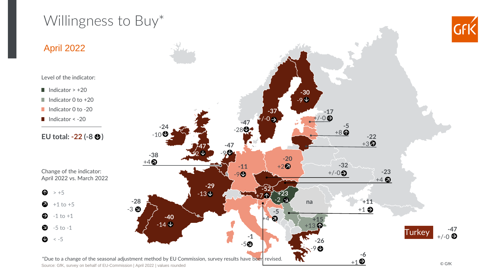## Willingness to Buy\*





Source: GfK, survey on behalf of EU-Commission | April 2022 | values rounded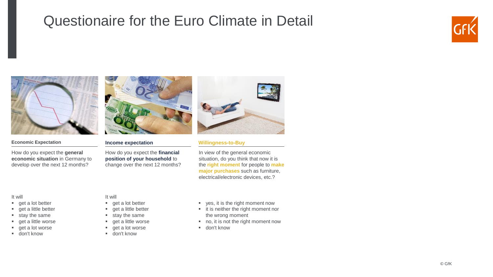### Questionaire for the Euro Climate in Detail





#### **Economic Expectation**

How do you expect the **general economic situation** in Germany to develop over the next 12 months?



#### **Income expectation**

How do you expect the **financial position of your household** to change over the next 12 months?



#### **Willingness-to-Buy**

In view of the general economic situation, do you think that now it is the **right moment** for people to **make major purchases** such as furniture, electrical/electronic devices, etc.?

#### It will

- get a lot better
- get a little better
- stay the same
- get a little worse
- get a lot worse
- don't know

#### It will

- get a lot better
- get a little better
- stay the same
- get a little worse
- get a lot worse
- don't know
- yes, it is the right moment now
- it is neither the right moment nor the wrong moment
- no, it is not the right moment now
- don't know